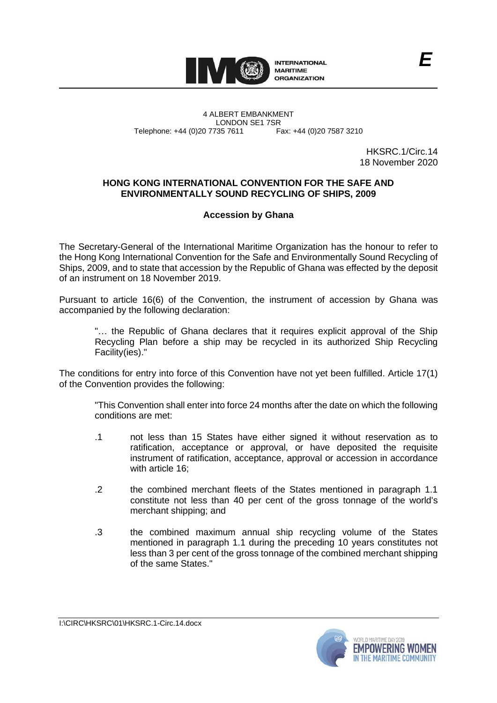

4 ALBERT EMBANKMENT LONDON SE1 7SR Telephone: +44 (0)20 7735 7611 Fax: +44 (0)20 7587 3210

HKSRC.1/Circ.14 18 November 2020

*E*

## **HONG KONG INTERNATIONAL CONVENTION FOR THE SAFE AND ENVIRONMENTALLY SOUND RECYCLING OF SHIPS, 2009**

## **Accession by Ghana**

The Secretary-General of the International Maritime Organization has the honour to refer to the Hong Kong International Convention for the Safe and Environmentally Sound Recycling of Ships, 2009, and to state that accession by the Republic of Ghana was effected by the deposit of an instrument on 18 November 2019.

Pursuant to article 16(6) of the Convention, the instrument of accession by Ghana was accompanied by the following declaration:

"… the Republic of Ghana declares that it requires explicit approval of the Ship Recycling Plan before a ship may be recycled in its authorized Ship Recycling Facility(ies)."

The conditions for entry into force of this Convention have not yet been fulfilled. Article 17(1) of the Convention provides the following:

"This Convention shall enter into force 24 months after the date on which the following conditions are met:

- .1 not less than 15 States have either signed it without reservation as to ratification, acceptance or approval, or have deposited the requisite instrument of ratification, acceptance, approval or accession in accordance with article 16;
- .2 the combined merchant fleets of the States mentioned in paragraph 1.1 constitute not less than 40 per cent of the gross tonnage of the world's merchant shipping; and
- .3 the combined maximum annual ship recycling volume of the States mentioned in paragraph 1.1 during the preceding 10 years constitutes not less than 3 per cent of the gross tonnage of the combined merchant shipping of the same States."